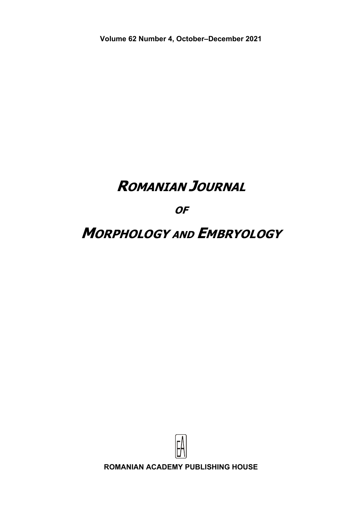**Volume 62 Number 4, October–December 2021** 

# **ROMANIAN JOURNAL**

**OF** 

# **MORPHOLOGY AND EMBRYOLOGY**

**ROMANIAN ACADEMY PUBLISHING HOUSE**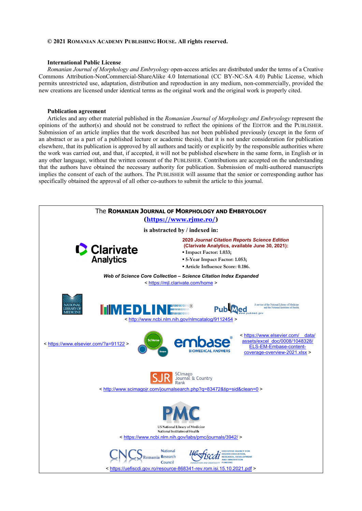#### **© 2021 ROMANIAN ACADEMY PUBLISHING HOUSE. All rights reserved.**

#### **International Public License**

*Romanian Journal of Morphology and Embryology* open-access articles are distributed under the terms of a Creative Commons Attribution-NonCommercial-ShareAlike 4.0 International (CC BY-NC-SA 4.0) Public License, which permits unrestricted use, adaptation, distribution and reproduction in any medium, non-commercially, provided the new creations are licensed under identical terms as the original work and the original work is properly cited.

#### **Publication agreement**

Articles and any other material published in the *Romanian Journal of Morphology and Embryology* represent the opinions of the author(s) and should not be construed to reflect the opinions of the EDITOR and the PUBLISHER. Submission of an article implies that the work described has not been published previously (except in the form of an abstract or as a part of a published lecture or academic thesis), that it is not under consideration for publication elsewhere, that its publication is approved by all authors and tacitly or explicitly by the responsible authorities where the work was carried out, and that, if accepted, it will not be published elsewhere in the same form, in English or in any other language, without the written consent of the PUBLISHER. Contributions are accepted on the understanding that the authors have obtained the necessary authority for publication. Submission of multi-authored manuscripts implies the consent of each of the authors. The PUBLISHER will assume that the senior or corresponding author has specifically obtained the approval of all other co-authors to submit the article to this journal.

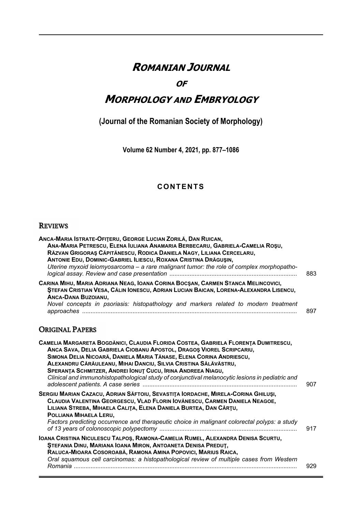# **ROMANIAN JOURNAL**

### **OF**

## **MORPHOLOGY AND EMBRYOLOGY**

## (Journal of the Romanian Society of Morphology)

Volume 62 Number 4, 2021, pp. 877-1086

### **CONTENTS**

#### **REVIEWS**

| ANCA-MARIA ISTRATE-OFITERU, GEORGE LUCIAN ZORILĂ, DAN RUICAN,<br>ANA-MARIA PETRESCU, ELENA IULIANA ANAMARIA BERBECARU, GABRIELA-CAMELIA ROȘU,<br>RĂZVAN GRIGORAȘ CĂPITĂNESCU, RODICA DANIELA NAGY, LILIANA CERCELARU,<br>ANTONIE EDU, DOMINIC-GABRIEL ILIESCU, ROXANA CRISTINA DRĂGUȘIN,<br>Uterine myxoid leiomyosarcoma - a rare malignant tumor: the role of complex morphopatho- | 883 |
|--------------------------------------------------------------------------------------------------------------------------------------------------------------------------------------------------------------------------------------------------------------------------------------------------------------------------------------------------------------------------------------|-----|
| CARINA MIHU, MARIA ADRIANA NEAG, IOANA CORINA BOCSAN, CARMEN STANCA MELINCOVICI,<br>STEFAN CRISTIAN VESA, CĂLIN IONESCU, ADRIAN LUCIAN BAICAN, LORENA-ALEXANDRA LISENCU,<br><b>ANCA-DANA BUZOIANU,</b><br>Novel concepts in psoriasis: histopathology and markers related to modern treatment                                                                                        | 897 |

### **ORIGINAL PAPERS**

| CAMELIA MARGARETA BOGDĂNICI, CLAUDIA FLORIDA COSTEA, GABRIELA FLORENȚA DUMITRESCU,<br>ANCA SAVA, DELIA GABRIELA CIOBANU APOSTOL, DRAGOS VIOREL SCRIPCARIU,<br>SIMONA DELIA NICOARĂ, DANIELA MARIA TĂNASE, ELENA CORINA ANDRIESCU,<br>ALEXANDRU CĂRĂULEANU, MIHAI DANCIU, SILVIA CRISTINA SĂLĂVĂSTRU,<br>SPERANTA SCHMITZER, ANDREI IONUT CUCU, IRINA ANDREEA NIAGU,<br>Clinical and immunohistopathological study of conjunctival melanocytic lesions in pediatric and | 907 |
|------------------------------------------------------------------------------------------------------------------------------------------------------------------------------------------------------------------------------------------------------------------------------------------------------------------------------------------------------------------------------------------------------------------------------------------------------------------------|-----|
| SERGIU MARIAN CAZACU, ADRIAN SĂFTOIU, SEVASTIȚA IORDACHE, MIRELA-CORINA GHILUȘI,<br>CLAUDIA VALENTINA GEORGESCU, VLAD FLORIN IOVĂNESCU, CARMEN DANIELA NEAGOE,<br>LILIANA STREBA, MIHAELA CALITA, ELENA DANIELA BURTEA, DAN CÂRȚU,<br>POLLIANA MIHAELA LERU,<br>Factors predicting occurrence and therapeutic choice in malignant colorectal polyps: a study                                                                                                           | 917 |
| IOANA CRISTINA NICULESCU TALPOȘ, RAMONA-CAMELIA RUMEL, ALEXANDRA DENISA SCURTU,<br><b>STEFANIA DINU, MARIANA IOANA MIRON, ANTOANETA DENISA PREDUT,</b><br>RALUCA-MIOARA COSOROABĂ, RAMONA AMINA POPOVICI, MARIUS RAICA,<br>Oral squamous cell carcinomas: a histopathological review of multiple cases from Western                                                                                                                                                    | 929 |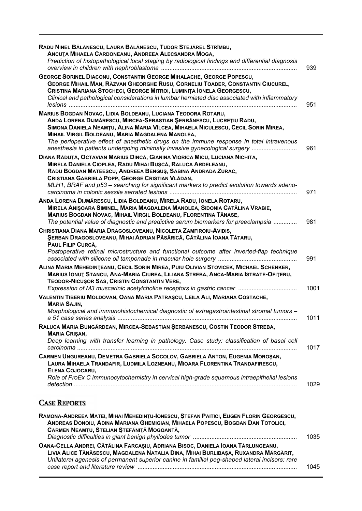| RADU NINEL BĂLĂNESCU, LAURA BĂLĂNESCU, TUDOR STEJĂREL STRÎMBU,<br>ANCUTA MIHAELA CARDONEANU, ANDREEA ALECSANDRA MOGA,<br>Prediction of histopathological local staging by radiological findings and differential diagnosis                                                                                                                                                                                                                            | 939  |
|-------------------------------------------------------------------------------------------------------------------------------------------------------------------------------------------------------------------------------------------------------------------------------------------------------------------------------------------------------------------------------------------------------------------------------------------------------|------|
| <b>GEORGE SORINEL DIACONU, CONSTANTIN GEORGE MIHALACHE, GEORGE POPESCU,</b><br>GEORGE MIHAIL MAN, RĂZVAN GHEORGHE RUSU, CORNELIU TOADER, CONSTANTIN CIUCUREL,<br>CRISTINA MARIANA STOCHECI, GEORGE MITROI, LUMINITA IONELA GEORGESCU,<br>Clinical and pathological considerations in lumbar herniated disc associated with inflammatory                                                                                                               | 951  |
| MARIUS BOGDAN NOVAC, LIDIA BOLDEANU, LUCIANA TEODORA ROTARU,<br>ANDA LORENA DIJMĂRESCU, MIRCEA-SEBASTIAN ȘERBĂNESCU, LUCREȚIU RADU,<br>SIMONA DANIELA NEAMȚU, ALINA MARIA VÎLCEA, MIHAELA NICULESCU, CECIL SORIN MIREA,<br>MIHAIL VIRGIL BOLDEANU, MARIA MAGDALENA MANOLEA,<br>The perioperative effect of anesthetic drugs on the immune response in total intravenous<br>anesthesia in patients undergoing minimally invasive gynecological surgery | 961  |
| DIANA RĂDUȚĂ, OCTAVIAN MARIUS DINCĂ, GIANINA VIORICA MICU, LUCIANA NICHITA,<br>MIRELA DANIELA CIOPLEA, RADU MIHAI BUȘCĂ, RALUCA ARDELEANU,<br>RADU BOGDAN MATEESCU, ANDREEA BENGUŞ, SABINA ANDRADA ZURAC,<br>CRISTIANA GABRIELA POPP, GEORGE CRISTIAN VLĂDAN,<br>MLH1, BRAF and p53 - searching for significant markers to predict evolution towards adeno-                                                                                           | 971  |
| ANDA LORENA DIJMĂRESCU, LIDIA BOLDEANU, MIRELA RADU, IONELA ROTARU,<br>MIRELA ANIŞOARA SIMINEL, MARIA MAGDALENA MANOLEA, SIDONIA CĂTĂLINA VRABIE,<br>MARIUS BOGDAN NOVAC, MIHAIL VIRGIL BOLDEANU, FLORENTINA TĂNASE,<br>The potential value of diagnostic and predictive serum biomarkers for preeclampsia                                                                                                                                            | 981  |
| CHRISTIANA DIANA MARIA DRAGOSLOVEANU, NICOLETA ZAMFIROIU-AVIDIS,<br>ŞERBAN DRAGOSLOVEANU, MIHAI ADRIAN PĂSĂRICĂ, CĂTĂLINA IOANA TĂTARU,<br>PAUL FILIP CURCĂ,<br>Postoperative retinal microstructure and functional outcome after inverted-flap technique                                                                                                                                                                                             | 991  |
| ALINA MARIA MEHEDINTEANU, CECIL SORIN MIREA, PUIU OLIVIAN STOVICEK, MICHAEL SCHENKER,<br>MARIUS IONUT STANCU, ANA-MARIA CIUREA, LILIANA STREBA, ANCA-MARIA ISTRATE-OFITERU,<br>TEODOR-NICUŞOR SAS, CRISTIN CONSTANTIN VERE,                                                                                                                                                                                                                           | 1001 |
| VALENTIN TIBERIU MOLDOVAN, OANA MARIA PĂTRAȘCU, LEILA ALI, MARIANA COSTACHE,<br><b>MARIA SAJIN,</b><br>Morphological and immunohistochemical diagnostic of extragastrointestinal stromal tumors -                                                                                                                                                                                                                                                     | 1011 |
| RALUCA MARIA BUNGĂRDEAN, MIRCEA-SEBASTIAN ȘERBĂNESCU, COSTIN TEODOR STREBA,<br><b>MARIA CRIŞAN,</b><br>Deep learning with transfer learning in pathology. Case study: classification of basal cell                                                                                                                                                                                                                                                    | 1017 |
| CARMEN UNGUREANU, DEMETRA GABRIELA SOCOLOV, GABRIELA ANTON, EUGENIA MOROȘAN,<br>LAURA MIHAELA TRANDAFIR, LUDMILA LOZNEANU, MIOARA FLORENTINA TRANDAFIRESCU,<br>ELENA COJOCARU,<br>Role of ProEx C immunocytochemistry in cervical high-grade squamous intraepithelial lesions                                                                                                                                                                         | 1029 |
| <b>CASE REPORTS</b>                                                                                                                                                                                                                                                                                                                                                                                                                                   |      |
| RAMONA-ANDREEA MATEI, MIHAI MEHEDINTU-IONESCU, ȘTEFAN PAITICI, EUGEN FLORIN GEORGESCU,<br>ANDREAS DONOIU, ADINA MARIANA GHEMIGIAN, MIHAELA POPESCU, BOGDAN DAN TOTOLICI,<br>CARMEN NEAMȚU, STELIAN ȘTEFĂNIȚĂ MOGOANTĂ,                                                                                                                                                                                                                                | 1035 |

| OANA-CELLA ANDREI, CĂTĂLINA FARCASIU, ADRIANA BISOC, DANIELA IOANA TĂRLUNGEANU,                |      |
|------------------------------------------------------------------------------------------------|------|
| LIVIA ALICE TĂNĂSESCU, MAGDALENA NATALIA DINA, MIHAI BURLIBAȘA, RUXANDRA MĂRGĂRIT,             |      |
| Unilateral agenesis of permanent superior canine in familial peg-shaped lateral incisors: rare |      |
|                                                                                                | 1045 |